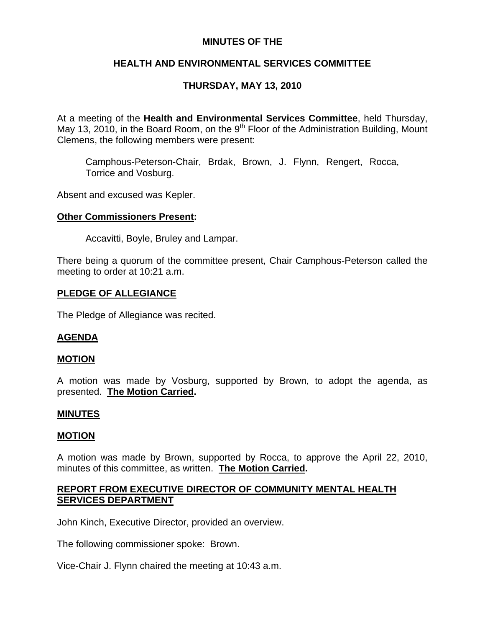# **MINUTES OF THE**

# **HEALTH AND ENVIRONMENTAL SERVICES COMMITTEE**

# **THURSDAY, MAY 13, 2010**

At a meeting of the **Health and Environmental Services Committee**, held Thursday, May 13, 2010, in the Board Room, on the  $9<sup>th</sup>$  Floor of the Administration Building, Mount Clemens, the following members were present:

Camphous-Peterson-Chair, Brdak, Brown, J. Flynn, Rengert, Rocca, Torrice and Vosburg.

Absent and excused was Kepler.

## **Other Commissioners Present:**

Accavitti, Boyle, Bruley and Lampar.

There being a quorum of the committee present, Chair Camphous-Peterson called the meeting to order at 10:21 a.m.

## **PLEDGE OF ALLEGIANCE**

The Pledge of Allegiance was recited.

## **AGENDA**

## **MOTION**

A motion was made by Vosburg, supported by Brown, to adopt the agenda, as presented. **The Motion Carried.** 

#### **MINUTES**

#### **MOTION**

A motion was made by Brown, supported by Rocca, to approve the April 22, 2010, minutes of this committee, as written. **The Motion Carried.** 

# **REPORT FROM EXECUTIVE DIRECTOR OF COMMUNITY MENTAL HEALTH SERVICES DEPARTMENT**

John Kinch, Executive Director, provided an overview.

The following commissioner spoke: Brown.

Vice-Chair J. Flynn chaired the meeting at 10:43 a.m.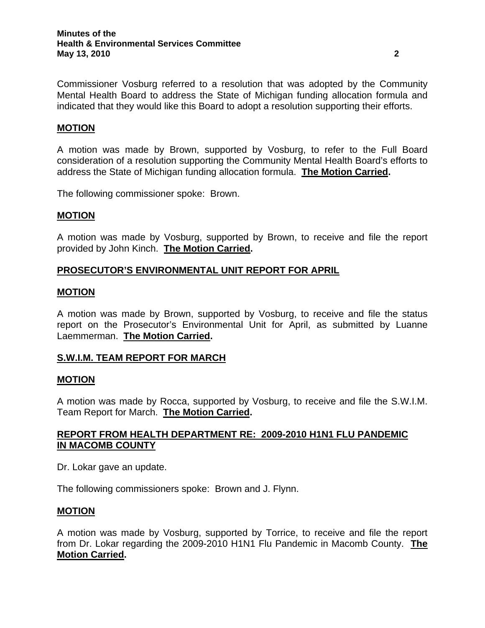Commissioner Vosburg referred to a resolution that was adopted by the Community Mental Health Board to address the State of Michigan funding allocation formula and indicated that they would like this Board to adopt a resolution supporting their efforts.

# **MOTION**

A motion was made by Brown, supported by Vosburg, to refer to the Full Board consideration of a resolution supporting the Community Mental Health Board's efforts to address the State of Michigan funding allocation formula. **The Motion Carried.** 

The following commissioner spoke: Brown.

## **MOTION**

A motion was made by Vosburg, supported by Brown, to receive and file the report provided by John Kinch. **The Motion Carried.** 

# **PROSECUTOR'S ENVIRONMENTAL UNIT REPORT FOR APRIL**

#### **MOTION**

A motion was made by Brown, supported by Vosburg, to receive and file the status report on the Prosecutor's Environmental Unit for April, as submitted by Luanne Laemmerman. **The Motion Carried.** 

## **S.W.I.M. TEAM REPORT FOR MARCH**

#### **MOTION**

A motion was made by Rocca, supported by Vosburg, to receive and file the S.W.I.M. Team Report for March. **The Motion Carried.** 

## **REPORT FROM HEALTH DEPARTMENT RE: 2009-2010 H1N1 FLU PANDEMIC IN MACOMB COUNTY**

Dr. Lokar gave an update.

The following commissioners spoke: Brown and J. Flynn.

#### **MOTION**

A motion was made by Vosburg, supported by Torrice, to receive and file the report from Dr. Lokar regarding the 2009-2010 H1N1 Flu Pandemic in Macomb County. **The Motion Carried.**